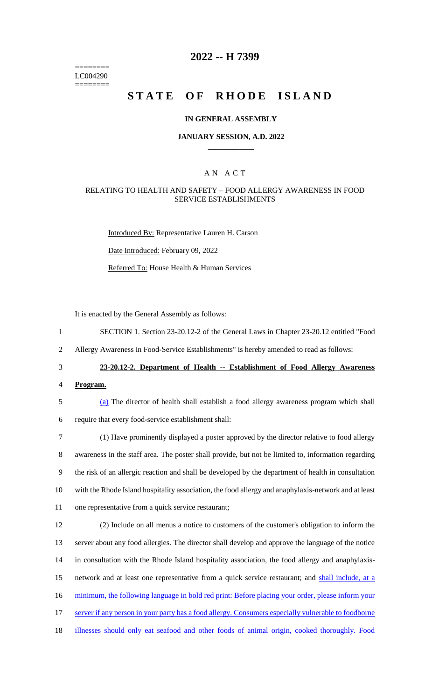======== LC004290 ========

### **2022 -- H 7399**

# **STATE OF RHODE ISLAND**

#### **IN GENERAL ASSEMBLY**

#### **JANUARY SESSION, A.D. 2022 \_\_\_\_\_\_\_\_\_\_\_\_**

#### A N A C T

#### RELATING TO HEALTH AND SAFETY – FOOD ALLERGY AWARENESS IN FOOD SERVICE ESTABLISHMENTS

Introduced By: Representative Lauren H. Carson Date Introduced: February 09, 2022 Referred To: House Health & Human Services

It is enacted by the General Assembly as follows:

1 SECTION 1. Section 23-20.12-2 of the General Laws in Chapter 23-20.12 entitled "Food

2 Allergy Awareness in Food-Service Establishments" is hereby amended to read as follows:

## 3 **23-20.12-2. Department of Health -- Establishment of Food Allergy Awareness**

4 **Program.**

5 (a) The director of health shall establish a food allergy awareness program which shall 6 require that every food-service establishment shall:

 (1) Have prominently displayed a poster approved by the director relative to food allergy awareness in the staff area. The poster shall provide, but not be limited to, information regarding the risk of an allergic reaction and shall be developed by the department of health in consultation with the Rhode Island hospitality association, the food allergy and anaphylaxis-network and at least one representative from a quick service restaurant;

 (2) Include on all menus a notice to customers of the customer's obligation to inform the server about any food allergies. The director shall develop and approve the language of the notice in consultation with the Rhode Island hospitality association, the food allergy and anaphylaxis- network and at least one representative from a quick service restaurant; and shall include, at a 16 minimum, the following language in bold red print: Before placing your order, please inform your server if any person in your party has a food allergy. Consumers especially vulnerable to foodborne illnesses should only eat seafood and other foods of animal origin, cooked thoroughly. Food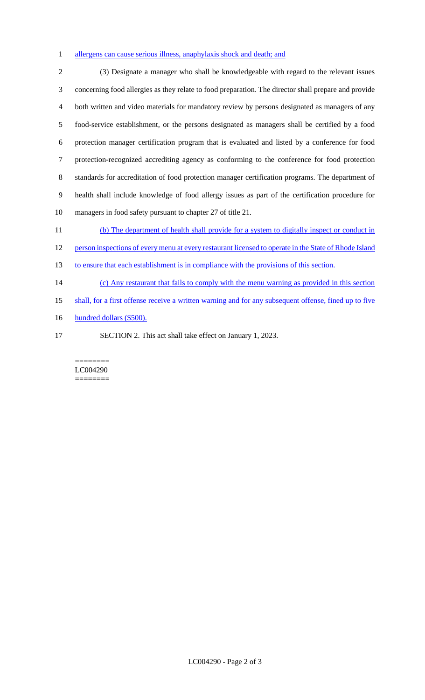#### allergens can cause serious illness, anaphylaxis shock and death; and

 (3) Designate a manager who shall be knowledgeable with regard to the relevant issues concerning food allergies as they relate to food preparation. The director shall prepare and provide both written and video materials for mandatory review by persons designated as managers of any food-service establishment, or the persons designated as managers shall be certified by a food protection manager certification program that is evaluated and listed by a conference for food protection-recognized accrediting agency as conforming to the conference for food protection standards for accreditation of food protection manager certification programs. The department of health shall include knowledge of food allergy issues as part of the certification procedure for managers in food safety pursuant to chapter 27 of title 21.

11 (b) The department of health shall provide for a system to digitally inspect or conduct in

12 person inspections of every menu at every restaurant licensed to operate in the State of Rhode Island

13 to ensure that each establishment is in compliance with the provisions of this section.

- (c) Any restaurant that fails to comply with the menu warning as provided in this section
- shall, for a first offense receive a written warning and for any subsequent offense, fined up to five
- 16 hundred dollars (\$500).
- 

SECTION 2. This act shall take effect on January 1, 2023.

#### ======== LC004290 ========